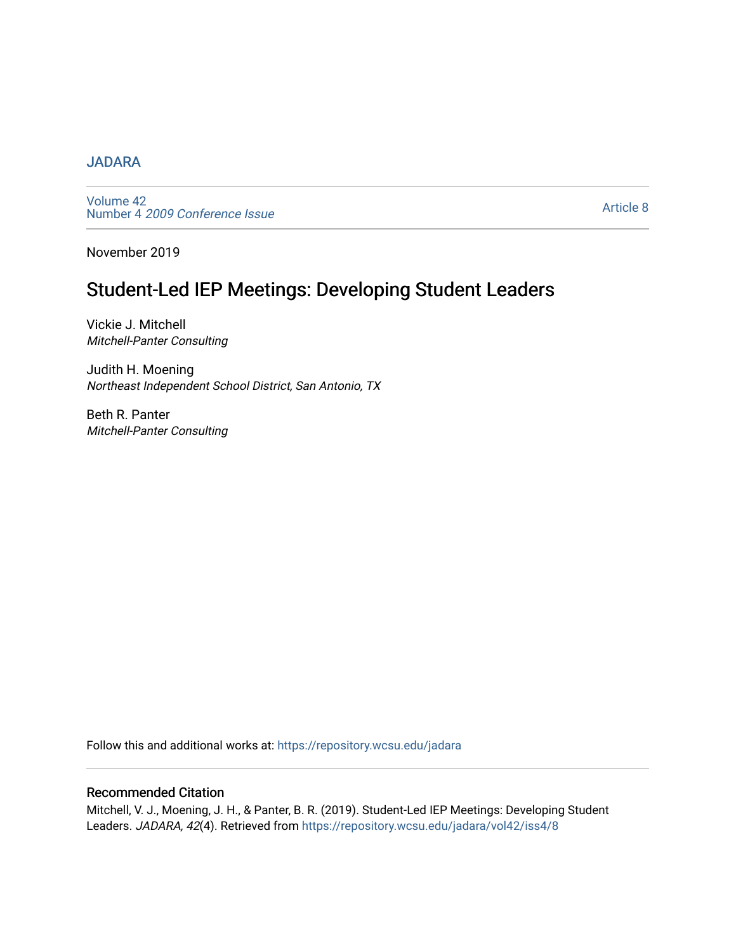#### [JADARA](https://repository.wcsu.edu/jadara)

[Volume 42](https://repository.wcsu.edu/jadara/vol42)  Number 4 [2009 Conference Issue](https://repository.wcsu.edu/jadara/vol42/iss4) 

[Article 8](https://repository.wcsu.edu/jadara/vol42/iss4/8) 

November 2019

# Student-Led IEP Meetings: Developing Student Leaders

Vickie J. Mitchell Mitchell-Panter Consulting

Judith H. Moening Northeast Independent School District, San Antonio, TX

Beth R. Panter Mitchell-Panter Consulting

Follow this and additional works at: [https://repository.wcsu.edu/jadara](https://repository.wcsu.edu/jadara?utm_source=repository.wcsu.edu%2Fjadara%2Fvol42%2Fiss4%2F8&utm_medium=PDF&utm_campaign=PDFCoverPages)

#### Recommended Citation

Mitchell, V. J., Moening, J. H., & Panter, B. R. (2019). Student-Led IEP Meetings: Developing Student Leaders. JADARA, 42(4). Retrieved from [https://repository.wcsu.edu/jadara/vol42/iss4/8](https://repository.wcsu.edu/jadara/vol42/iss4/8?utm_source=repository.wcsu.edu%2Fjadara%2Fvol42%2Fiss4%2F8&utm_medium=PDF&utm_campaign=PDFCoverPages)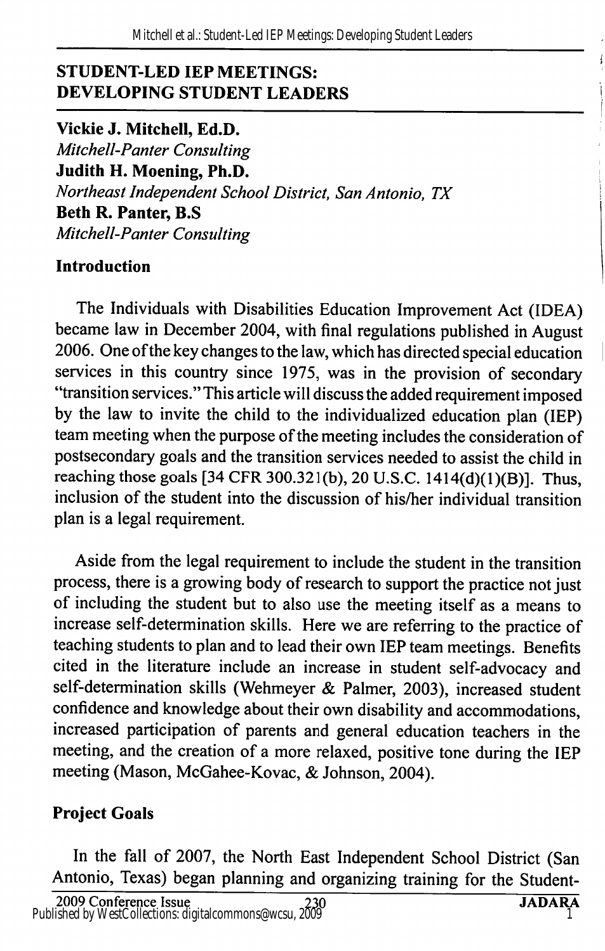### STUDENT-LED lEP MEETINGS: DEVELOPING STUDENT LEADERS

Vickie J. Mitchell, Ed.D. Mitchell-Panter Consulting Judith H. Moening, Ph.D. Northeast Independent School District, San Antonio, TX Beth R. Panter, B.S Mitchell-Panter Consulting

### Introduction

The Individuals with Disabilities Education Improvement Act (IDEA) became law in December 2004, with final regulations published in August 2006. One of the key changes to the law, which has directed special education services in this country since 1975, was in the provision of secondary "transition services." This article will discuss the added requirement imposed by the law to invite the child to the individualized education plan (IE?) team meeting when the purpose of the meeting includes the consideration of postsecondary goals and the transition services needed to assist the child in reaching those goals [34 CFR 300.321(b), 20 U.S.C. 1414(d)(1)(B)]. Thus, inclusion of the student into the discussion of his/her individual transition plan is a legal requirement.

Aside from the legal requirement to include the student in the transition process, there is a growing body of research to support the practice not just of including the student but to also use the meeting itself as a means to increase self-determination skills. Here we are referring to the practice of teaching students to plan and to lead their own IEP team meetings. Benefits cited in the literature include an increase in student self-advocacy and self-determination skills (Wehmeyer & Palmer, 2003), increased student confidence and knowledge about their own disability and accommodations, increased participation of parents and general education teachers in the meeting, and the creation of a more relaxed, positive tone during the IEP meeting (Mason, McGahee-Kovac, & Johnson, 2004).

## Project Goals

In the fall of 2007, the North East Independent School District (San Antonio, Texas) began planning and organizing training for the Student-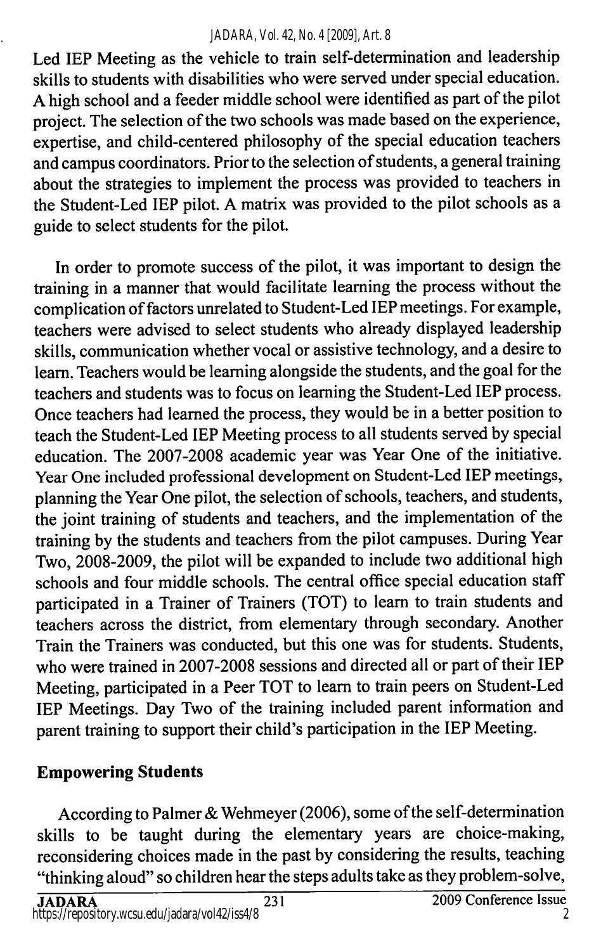#### *JADARA, Vol. 42, No. 4 [2009], Art. 8*

Led lEP Meeting as the vehicle to train self-determination and leadership skills to students with disabilities who were served under special education. A high school and a feeder middle school were identified as part of the pilot project. The selection of the two schools was made based on the experience, expertise, and child-centered philosophy of the special education teachers and campus coordinators. Prior to the selection of students, a general training about the strategies to implement the process was provided to teachers in the Student-Led lEP pilot. A matrix was provided to the pilot schools as a guide to select students for the pilot.

In order to promote success of the pilot, it was important to design the training in a manner that would facilitate learning the process without the complication of factors unrelated to Student-Led lEP meetings. For example, teachers were advised to select students who already displayed leadership skills, communication whether vocal or assistive technology, and a desire to learn. Teachers would be learning alongside the students, and the goal for the teachers and students was to focus on learning the Student-Led lEP process. Once teachers had learned the process, they would be in a better position to teach the Student-Led lEP Meeting process to all students served by special education. The 2007-2008 academic year was Year One of the initiative. Year One included professional development on Student-Led lEP meetings, planning the Year One pilot, the selection of schools, teachers, and students, the joint training of students and teachers, and the implementation of the training by the students and teachers from the pilot campuses. During Year Two, 2008-2009, the pilot will be expanded to include two additional high schools and four middle schools. The central office special education staff participated in a Trainer of Trainers (TOT) to learn to train students and teachers across the district, from elementary through secondary. Another Train the Trainers was conducted, but this one was for students. Students, who were trained in 2007-2008 sessions and directed all or part of their lEP Meeting, participated in a Peer TOT to learn to train peers on Student-Led lEP Meetings. Day Two of the training included parent information and parent training to support their child's participation in the lEP Meeting.

### Empowering Students

According to Palmer & Wehmeyer (2006), some of the self-determination skills to be taught during the elementary years are choice-making, reconsidering choices made in the past by considering the results, teaching "thinking aloud" so children hear the steps adults take as they problem-solve,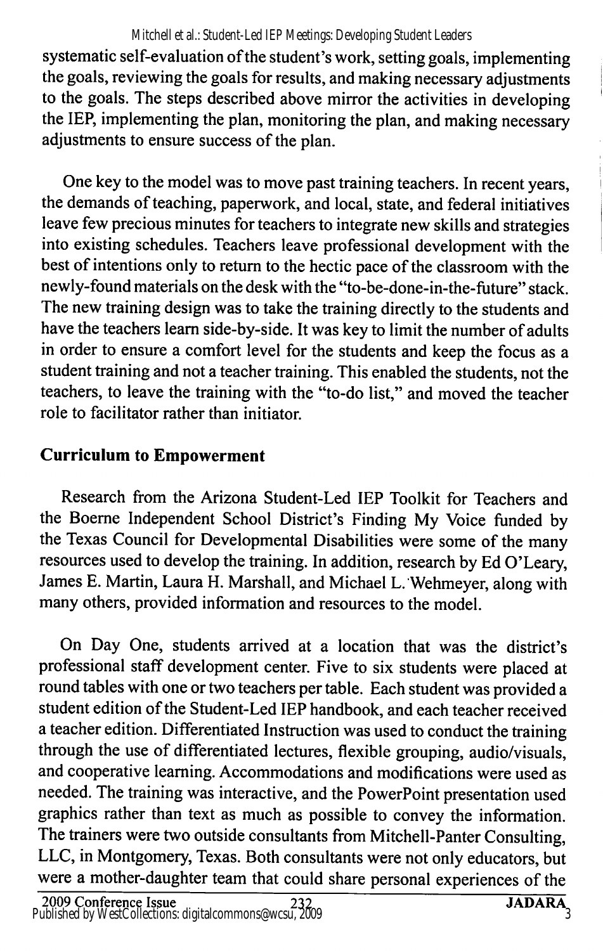#### Mitchell et al.: Student-Led IEP Meetings: Developing Student Leaders

systematic self-evaluation of the student's work, setting goals, implementing the goals, reviewing the goals for results, and making necessary adjustments to the goals. The steps described above mirror the activities in developing the lEP, implementing the plan, monitoring the plan, and making necessary adjustments to ensure success of the plan.

One key to the model was to move past training teachers. In recent years, the demands of teaching, paperwork, and local, state, and federal initiatives leave few precious minutes for teachers to integrate new skills and strategies into existing schedules. Teachers leave professional development with the best of intentions only to return to the hectic pace of the classroom with the newly-found materials on the desk with the "to-be-done-in-the-future" stack. The new training design was to take the training directly to the students and have the teachers leam side-by-side. It was key to limit the number of adults in order to ensure a comfort level for the students and keep the focus as a student training and not a teacher training. This enabled the students, not the teachers, to leave the training with the "to-do list," and moved the teacher role to facilitator rather than initiator.

## Curriculum to Empowerment

Research from the Arizona Student-Led lEP Toolkit for Teachers and the Boeme Independent School District's Finding My Voice funded by the Texas Council for Developmental Disabilities were some of the many resources used to develop the training. In addition, research by Ed O'Leary, James E. Martin, Laura H. Marshall, and Michael L. Wehmeyer, along with many others, provided information and resources to the model.

On Day One, students arrived at a location that was the district's professional staff development center. Five to six students were placed at round tables with one or two teachers per table. Each student was provided a student edition of the Student-Led lEP handbook, and each teacher received a teacher edition. Differentiated Instruction was used to conduct the training through the use of differentiated lectures, flexible grouping, audio/visuals, and cooperative learning. Accommodations and modifications were used as needed. The training was interactive, and the PowerPoint presentation used graphics rather than text as much as possible to convey the information. The trainers were two outside consultants from Mitchell-Panter Consulting, LLC, in Montgomery, Texas. Both consultants were not only educators, but were a mother-daughter team that could share personal experiences of the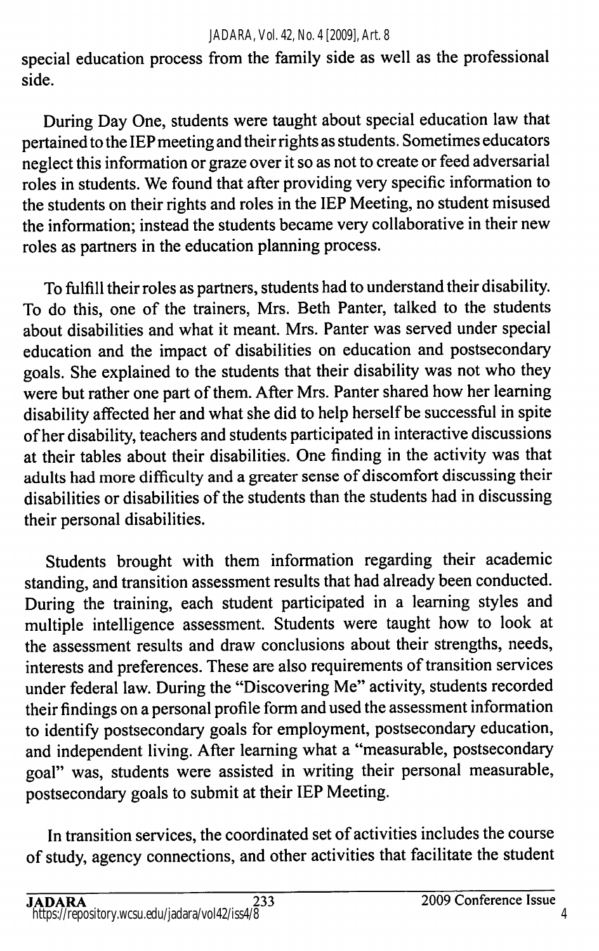#### *JADARA, Vol. 42, No. 4 [2009], Art. 8*

special education process from the family side as well as the professional side.

During Day One, students were taught about special education law that pertained to the lEP meeting and their rights as students. Sometimes educators neglect this information or graze over it so as not to create or feed adversarial roles in students. We found that after providing very specific information to the students on their rights and roles in the lEP Meeting, no student misused the information; instead the students became very collaborative in their new roles as partners in the education planning process.

To fulfill their roles as partners, students had to understand their disability. To do this, one of the trainers, Mrs. Beth Panter, talked to the students about disabilities and what it meant. Mrs. Panter was served under special education and the impact of disabilities on education and postsecondary goals. She explained to the students that their disability was not who they were but rather one part of them. After Mrs. Panter shared how her learning disability affected her and what she did to help herself be successful in spite of her disability, teachers and students participated in interactive discussions at their tables about their disabilities. One finding in the activity was that adults had more difficulty and a greater sense of discomfort discussing their disabilities or disabilities of the students than the students had in discussing their personal disabilities.

Students brought with them information regarding their academic standing, and transition assessment results that had already been conducted. During the training, each student participated in a learning styles and multiple intelligence assessment. Students were taught how to look at the assessment results and draw conclusions about their strengths, needs, interests and preferences. These are also requirements of transition services under federal law. During the "Discovering Me" activity, students recorded their findings on a personal profile form and used the assessment information to identify postsecondary goals for employment, postsecondary education, and independent living. After learning what a "measurable, postsecondary goal" was, students were assisted in writing their personal measurable, postsecondary goals to submit at their lEP Meeting.

In transition services, the coordinated set of activities includes the course of study, agency connections, and other activities that facilitate the student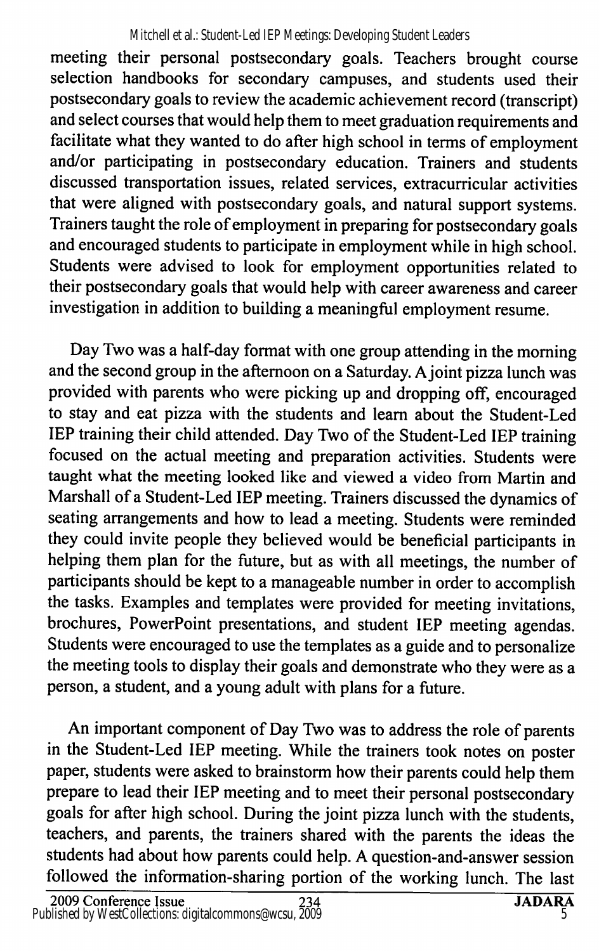meeting their personal postsecondary goals. Teachers brought course selection handbooks for secondary campuses, and students used their postsecondary goals to review the academic achievement record (transcript) and select courses that would help them to meet graduation requirements and facilitate what they wanted to do after high school in terms of employment and/or participating in postsecondary education. Trainers and students discussed transportation issues, related services, extracurricular activities that were aligned with postsecondary goals, and natural support systems. Trainers taught the role of employment in preparing for postsecondary goals and encouraged students to participate in employment while in high school. Students were advised to look for employment opportunities related to their postsecondary goals that would help with career awareness and career investigation in addition to building a meaningful employment resume.

Day Two was a half-day format with one group attending in the morning and the second group in the afternoon on a Saturday. A joint pizza lunch was provided with parents who were picking up and dropping off, encouraged to stay and eat pizza with the students and learn about the Student-Led lEP training their child attended. Day Two of the Student-Led lEP training focused on the actual meeting and preparation activities. Students were taught what the meeting looked like and viewed a video from Martin and Marshall of a Student-Led lEP meeting. Trainers discussed the dynamics of seating arrangements and how to lead a meeting. Students were reminded they could invite people they believed would be beneficial participants in helping them plan for the future, but as with all meetings, the number of participants should be kept to a manageable number in order to accomplish the tasks. Examples and templates were provided for meeting invitations, brochures, PowerPoint presentations, and student lEP meeting agendas. Students were encouraged to use the templates as a guide and to personalize the meeting tools to display their goals and demonstrate who they were as a person, a student, and a young adult with plans for a future.

An important component of Day Two was to address the role of parents in the Student-Led lEP meeting. While the trainers took notes on poster paper, students were asked to brainstorm how their parents could help them prepare to lead their lEP meeting and to meet their personal postsecondary goals for after high school. During the joint pizza lunch with the students, teachers, and parents, the trainers shared with the parents the ideas the students had about how parents could help. A question-and-answer session followed the information-sharing portion of the working lunch. The last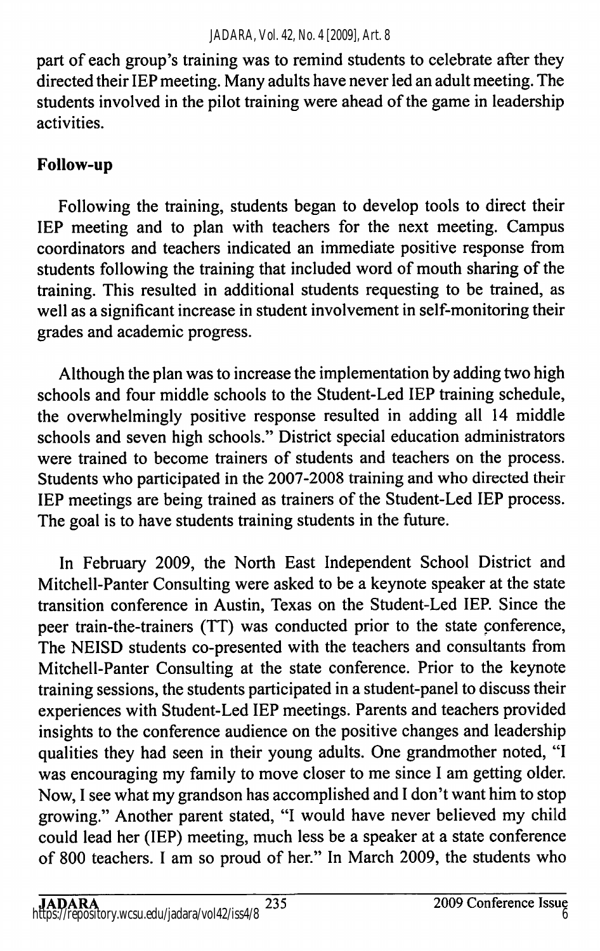part of each group's training was to remind students to celebrate after they directed their lEP meeting. Many adults have never led an adult meeting. The students involved in the pilot training were ahead of the game in leadership activities.

## Follow-up

Following the training, students began to develop tools to direct their lEP meeting and to plan with teachers for the next meeting. Campus coordinators and teachers indicated an immediate positive response from students following the training that included word of mouth sharing of the training. This resulted in additional students requesting to be trained, as well as a significant increase in student involvement in self-monitoring their grades and academic progress.

Although the plan was to increase the implementation by adding two high schools and four middle schools to the Student-Led lEP training schedule, the overwhelmingly positive response resulted in adding all 14 middle schools and seven high schools." District special education administrators were trained to become trainers of students and teachers on the process. Students who participated in the 2007-2008 training and who directed their lEP meetings are being trained as trainers of the Student-Led lEP process. The goal is to have students training students in the future.

In February 2009, the North East Independent School District and Mitchell-Panter Consulting were asked to be a keynote speaker at the state transition conference in Austin, Texas on the Student-Led lEP. Since the peer train-the-trainers (TT) was conducted prior to the state conference. The NEISD students co-presented with the teachers and consultants from Mitchell-Panter Consulting at the state conference. Prior to the keynote training sessions, the students participated in a student-panel to discuss their experiences with Student-Led lEP meetings. Parents and teachers provided insights to the conference audience on the positive changes and leadership qualities they had seen in their young adults. One grandmother noted, "I was encouraging my family to move closer to me since I am getting older. Now, I see what my grandson has accomplished and I don't want him to stop growing." Another parent stated, "I would have never believed my child could lead her (lEP) meeting, much less be a speaker at a state conference of 800 teachers. I am so proud of her." In March 2009, the students who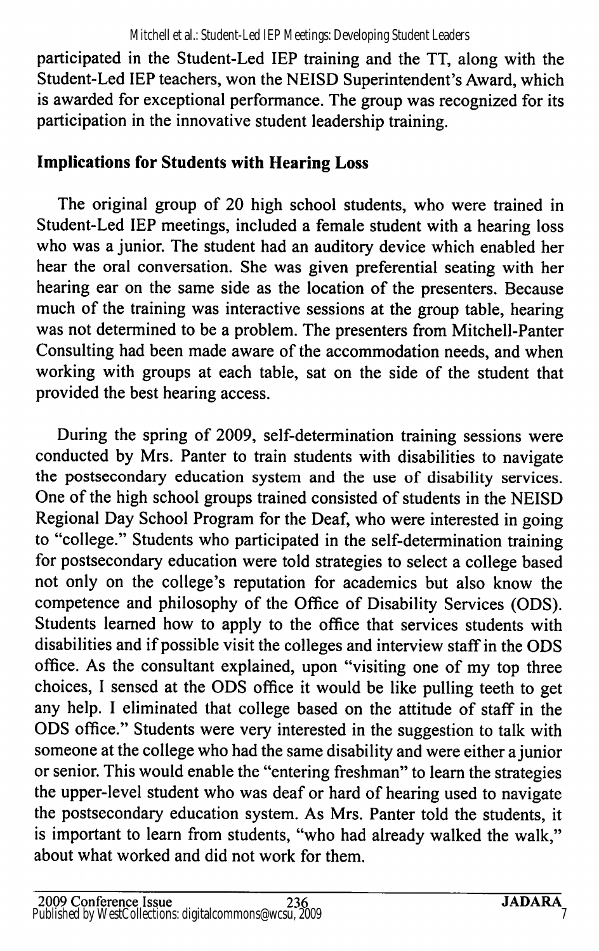participated in the Student-Led lEP training and the TT, along with the Student-Led lEP teachers, won the NEISD Superintendent's Award, which is awarded for exceptional performance. The group was recognized for its participation in the innovative student leadership training.

## Implications for Students with Hearing Loss

The original group of 20 high school students, who were trained in Student-Led lEP meetings, included a female student with a hearing loss who was a junior. The student had an auditory device which enabled her hear the oral conversation. She was given preferential seating with her hearing ear on the same side as the location of the presenters. Because much of the training was interactive sessions at the group table, hearing was not determined to be a problem. The presenters from Mitchell-Panter Consulting had been made aware of the accommodation needs, and when working with groups at each table, sat on the side of the student that provided the best hearing access.

During the spring of 2009, self-determination training sessions were conducted by Mrs. Panter to train students with disabilities to navigate the postsecondary education system and the use of disability services. One of the high school groups trained consisted of students in the NEISD Regional Day School Program for the Deaf, who were interested in going to "college." Students who participated in the self-determination training for postsecondary education were told strategies to select a college based not only on the college's reputation for academics but also know the competence and philosophy of the Office of Disability Services (CDS). Students learned how to apply to the office that services students with disabilities and if possible visit the colleges and interview staff in the CDS office. As the consultant explained, upon "visiting one of my top three choices, I sensed at the CDS office it would be like pulling teeth to get any help. I eliminated that college based on the attitude of staff in the CDS office." Students were very interested in the suggestion to talk with someone at the college who had the same disability and were either a junior or senior. This would enable the "entering freshman" to learn the strategies the upper-level student who was deaf or hard of hearing used to navigate the postsecondary education system. As Mrs. Panter told the students, it is important to learn from students, "who had already walked the walk," about what worked and did not work for them.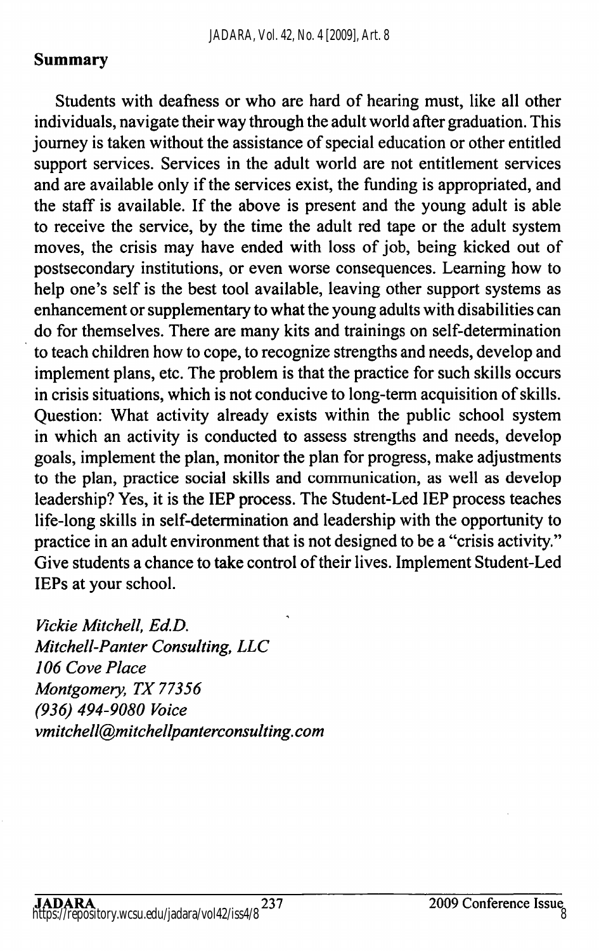### Summary

Students with deafness or who are hard of hearing must, like all other individuals, navigate their way through the adult world after graduation. This journey is taken without the assistance of special education or other entitled support services. Services in the adult world are not entitlement services and are available only if the services exist, the funding is appropriated, and the staff is available. If the above is present and the young adult is able to receive the service, by the time the adult red tape or the adult system moves, the crisis may have ended with loss of job, being kicked out of postsecondary institutions, or even worse consequences. Leaming how to help one's self is the best tool available, leaving other support systems as enhancement or supplementary to what the young adults with disabilities can do for themselves. There are many kits and trainings on self-determination to teach children how to cope, to recognize strengths and needs, develop and implement plans, etc. The problem is that the practice for such skills occurs in crisis situations, which is not conducive to long-term acquisition of skills. Question: What activity already exists within the public school system in which an activity is conducted to assess strengths and needs, develop goals, implement the plan, monitor the plan for progress, make adjustments to the plan, practice social skills and communication, as well as develop leadership? Yes, it is the lEP process. The Student-Led lEP process teaches life-long skills in self-determination and leadership with the opportunity to practice in an adult environment that is not designed to be a "crisis activity." Give students a chance to take control of their lives. Implement Student-Led lEPs at your school.

Vickie Mitchell, Ed.D. Mitchell-Panter Consulting, LLC 106 Cove Place Montgomery, TX 77356 (936) 494-9080 Voice vmitchell@mitchellpanterconsulting.com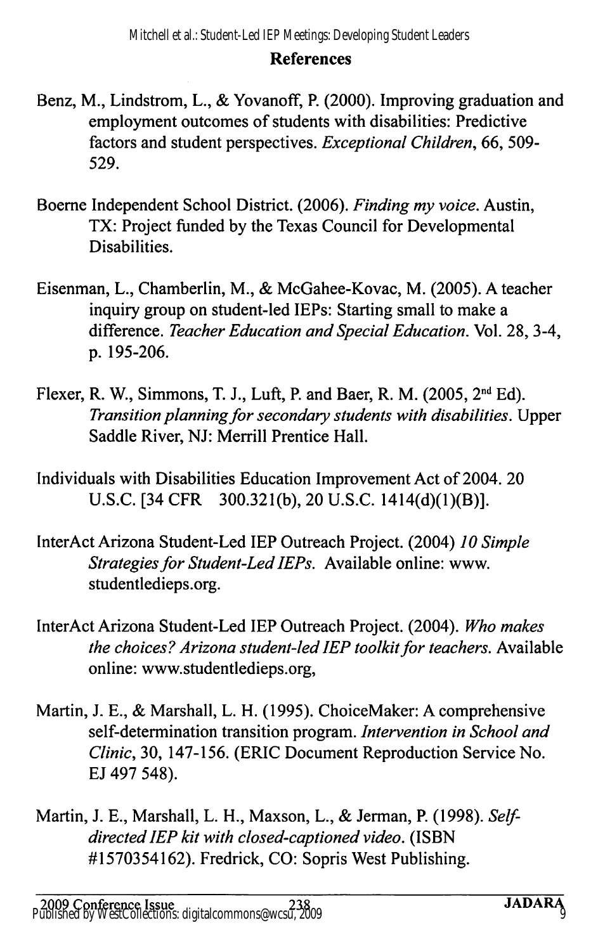#### References

- Benz, M., Lindstrom, L., & Yovanoff, P. (2000). Improving graduation and employment outcomes of students with disabilities: Predictive factors and student perspectives. Exceptional Children, 66, 509-529.
- Boeme Independent School District. (2006). Finding my voice. Austin, TX: Project funded by the Texas Council for Developmental Disabilities.
- Eisenman, L., Chamberlin, M., & McGahee-Kovac, M. (2005). A teacher inquiry group on student-led lEPs: Starting small to make a difference. Teacher Education and Special Education. Vol. 28, 3-4, p. 195-206.
- Flexer, R. W., Simmons, T. J., Luft, P. and Baer, R. M. (2005,  $2<sup>nd</sup> Ed$ ). Transition planning for secondary students with disabilities. Upper Saddle River, NJ: Merrill Prentice Hall.
- Individuals with Disabilities Education Improvement Act of 2004. 20 U.S.C. [34 CFR 300.321(b), 20 U.S.C. 1414(d)(1)(B)].
- InterAct Arizona Student-Led lEP Outreach Project. (2004) 10 Simple Strategies for Student-Led lEPs. Available online: www. studentledieps.org.
- InterAct Arizona Student-Led lEP Outreach Project. (2004). Who makes the choices? Arizona student-led lEP toolkit for teachers. Available online: www.studentledieps.org,
- Martin, J. E., & Marshall, L. H. (1995). ChoiceMaker: A comprehensive self-determination transition program. Intervention in School and Clinic, 30, 147-156. (ERIC Document Reproduction Service No. EJ 497 548).
- Martin, J. E., Marshall, L. H., Maxson, L., & Jerman, P. (1998). Selfdirected lEP kit with closed-captioned video. (ISBN #1570354162). Fredrick, CO: Sopris West Publishing.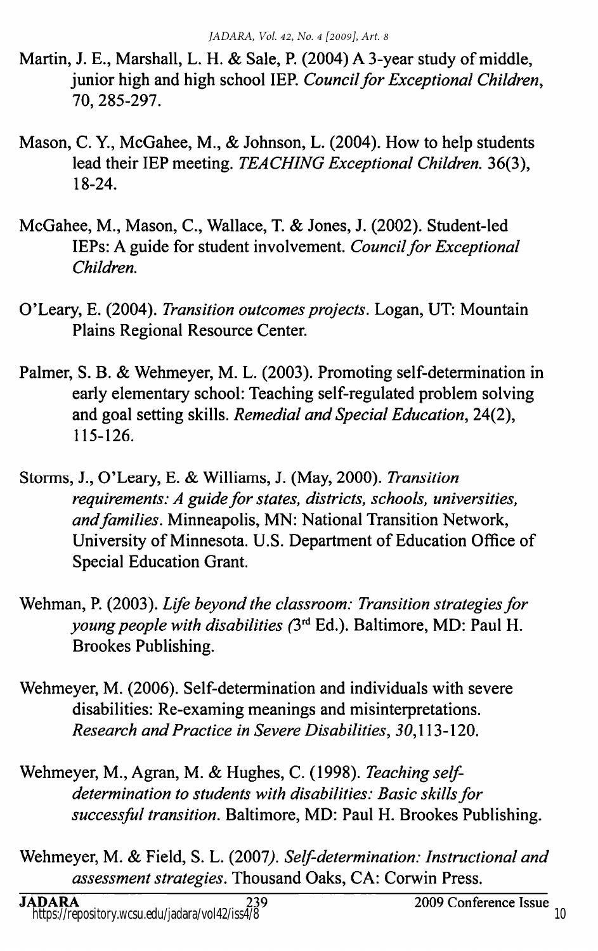- Martin, J. E., Marshall, L. H. & Sale, P. (2004) A 3-year study of middle, junior high and high school IEP. Council for Exceptional Children, 70, 285-297.
- Mason, C. Y., McGahee, M., & Johnson, L. (2004). How to help students lead their IEP meeting. TEACHING Exceptional Children. 36(3), 18-24.
- McGahee, M., Mason, C., Wallace, T. & Jones, J. (2002). Student-led lEPs: A guide for student involvement. Council for Exceptional Children.
- O'Leary, E. (2004). Transition outcomes projects. Logan, UT: Mountain Plains Regional Resource Center.
- Palmer, S. B. & Wehmeyer, M. L. (2003). Promoting self-determination in early elementary school: Teaching self-regulated problem solving and goal setting skills. Remedial and Special Education, 24(2), 115-126.
- Storms, J., O'Leary, E. & Williams, J. (May, 2000). Transition requirements: A guide for states, districts, schools, universities, and families. Minneapolis, MN: National Transition Network, University of Minnesota. U.S. Department of Education Office of Special Education Grant.
- Wehman, P. (2003). Life beyond the classroom: Transition strategies for young people with disabilities (3<sup>rd</sup> Ed.). Baltimore, MD: Paul H. Brookes Publishing.
- Wehmeyer, M. (2006). Self-determination and individuals with severe disabilities: Re-examing meanings and misinterpretations. Research and Practice in Severe Disabilities, 50,113-120.
- Wehmeyer, M., Agran, M. & Hughes, C. (1998). Teaching selfdetermination to students with disabilities: Basic skills for successful transition. Baltimore, MD: Paul H. Brookes Publishing.
- Wehmeyer, M. & Field, S. L. (2007). Self-determination: Instructional and assessment strategies. Thousand Oaks, CA: Corwin Press.